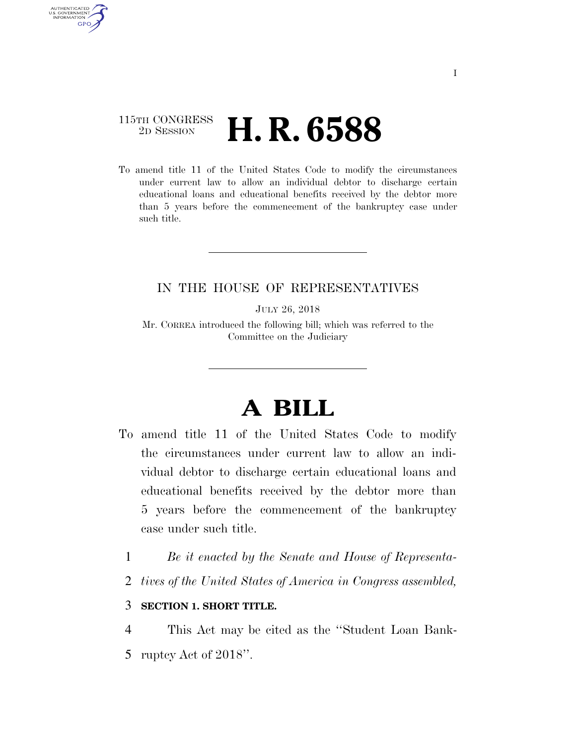# 115TH CONGRESS <sup>2D SESSION</sup> **H. R. 6588**

AUTHENTICATED U.S. GOVERNMENT **GPO** 

> To amend title 11 of the United States Code to modify the circumstances under current law to allow an individual debtor to discharge certain educational loans and educational benefits received by the debtor more than 5 years before the commencement of the bankruptcy case under such title.

# IN THE HOUSE OF REPRESENTATIVES

JULY 26, 2018

Mr. CORREA introduced the following bill; which was referred to the Committee on the Judiciary

# **A BILL**

- To amend title 11 of the United States Code to modify the circumstances under current law to allow an individual debtor to discharge certain educational loans and educational benefits received by the debtor more than 5 years before the commencement of the bankruptcy case under such title.
	- 1 *Be it enacted by the Senate and House of Representa-*
	- 2 *tives of the United States of America in Congress assembled,*

#### 3 **SECTION 1. SHORT TITLE.**

4 This Act may be cited as the ''Student Loan Bank-5 ruptcy Act of 2018''.